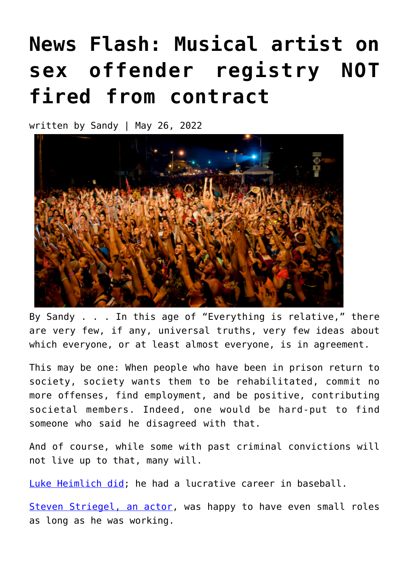## **[News Flash: Musical artist on](https://narsol.org/2022/05/news-flash-musical-artist-on-sex-offender-registry-not-fired-from-contract/) [sex offender registry NOT](https://narsol.org/2022/05/news-flash-musical-artist-on-sex-offender-registry-not-fired-from-contract/) [fired from contract](https://narsol.org/2022/05/news-flash-musical-artist-on-sex-offender-registry-not-fired-from-contract/)**

written by Sandy | May 26, 2022



By Sandy . . . In this age of "Everything is relative," there are very few, if any, universal truths, very few ideas about which everyone, or at least almost everyone, is in agreement.

This may be one: When people who have been in prison return to society, society wants them to be rehabilitated, commit no more offenses, find employment, and be positive, contributing societal members. Indeed, one would be hard-put to find someone who said he disagreed with that.

And of course, while some with past criminal convictions will not live up to that, many will.

[Luke Heimlich did;](https://narsol.org/2019/03/destroyed-lives/) he had a lucrative career in baseball.

[Steven Striegel, an actor](https://narsol.org/2019/03/destroyed-lives/), was happy to have even small roles as long as he was working.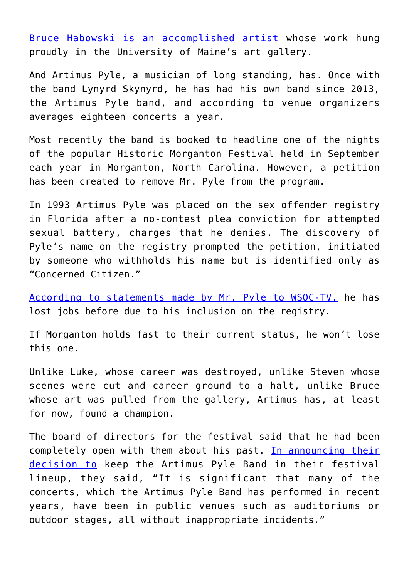[Bruce Habowski is an accomplished artist](https://narsol.org/2019/03/destroyed-lives/) whose work hung proudly in the University of Maine's art gallery.

And Artimus Pyle, a musician of long standing, has. Once with the band Lynyrd Skynyrd, he has had his own band since 2013, the Artimus Pyle band, and according to venue organizers averages eighteen concerts a year.

Most recently the band is booked to headline one of the nights of the popular Historic Morganton Festival held in September each year in Morganton, North Carolina. However, a petition has been created to remove Mr. Pyle from the program.

In 1993 Artimus Pyle was placed on the sex offender registry in Florida after a no-contest plea conviction for attempted sexual battery, charges that he denies. The discovery of Pyle's name on the registry prompted the petition, initiated by someone who withholds his name but is identified only as "Concerned Citizen."

[According to statements made by Mr. Pyle to WSOC-TV,](https://www.wsoctv.com/news/local/petition-started-ban-musician-registered-sex-offender-headlining-burke-co-festival/GICO4UKDYNB47KU2YEBXH3LQL4/) he has lost jobs before due to his inclusion on the registry.

If Morganton holds fast to their current status, he won't lose this one.

Unlike Luke, whose career was destroyed, unlike Steven whose scenes were cut and career ground to a halt, unlike Bruce whose art was pulled from the gallery, Artimus has, at least for now, found a champion.

The board of directors for the festival said that he had been completely open with them about his past. [In announcing their](https://www.fox46.com/news/u-s/north-carolina/burke-county/historic-morganton-festival-to-move-forward-with-hiring-artimus-pyle-band-despite-musicians-sex-offender-status/) [decision to](https://www.fox46.com/news/u-s/north-carolina/burke-county/historic-morganton-festival-to-move-forward-with-hiring-artimus-pyle-band-despite-musicians-sex-offender-status/) keep the Artimus Pyle Band in their festival lineup, they said, "It is significant that many of the concerts, which the Artimus Pyle Band has performed in recent years, have been in public venues such as auditoriums or outdoor stages, all without inappropriate incidents."